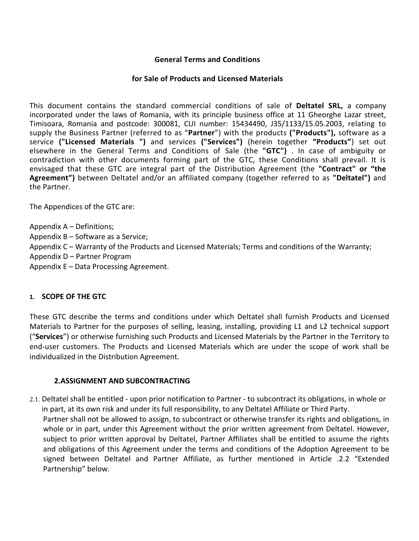#### **General Terms and Conditions**

#### **for Sale of Products and Licensed Materials**

This document contains the standard commercial conditions of sale of **Deltatel SRL,** a company incorporated under the laws of Romania, with its principle business office at 11 Gheorghe Lazar street, Timisoara, Romania and postcode: 300081, CUI number: 15434490, J35/1133/15.05.2003, relating to supply the Business Partner (referred to as "**Partner**") with the products **("Products"),** software as a service **("Licensed Materials ")** and services **("Services")** (herein together **"Products"**) set out elsewhere in the General Terms and Conditions of Sale (the **"GTC")** . In case of ambiguity or contradiction with other documents forming part of the GTC, these Conditions shall prevail. It is envisaged that these GTC are integral part of the Distribution Agreement (the **"Contract" or "the Agreement")** between Deltatel and/or an affiliated company (together referred to as **"Deltatel")** and the Partner.

The Appendices of the GTC are:

Appendix A – Definitions;

- Appendix B Software as a Service;
- Appendix C Warranty of the Products and Licensed Materials; Terms and conditions of the Warranty;
- Appendix D Partner Program
- Appendix E Data Processing Agreement.

#### **1. SCOPE OF THE GTC**

These GTC describe the terms and conditions under which Deltatel shall furnish Products and Licensed Materials to Partner for the purposes of selling, leasing, installing, providing L1 and L2 technical support ("**Services**") or otherwise furnishing such Products and Licensed Materials by the Partner in the Territory to end-user customers. The Products and Licensed Materials which are under the scope of work shall be individualized in the Distribution Agreement.

#### **2.ASSIGNMENT AND SUBCONTRACTING**

2.1. Deltatel shall be entitled - upon prior notification to Partner - to subcontract its obligations, in whole or in part, at its own risk and under its full responsibility, to any Deltatel Affiliate or Third Party. Partner shall not be allowed to assign, to subcontract or otherwise transfer its rights and obligations, in whole or in part, under this Agreement without the prior written agreement from Deltatel. However, subject to prior written approval by Deltatel, Partner Affiliates shall be entitled to assume the rights and obligations of this Agreement under the terms and conditions of the Adoption Agreement to be signed between Deltatel and Partner Affiliate, as further mentioned in Article .2.2 "Extended Partnership" below.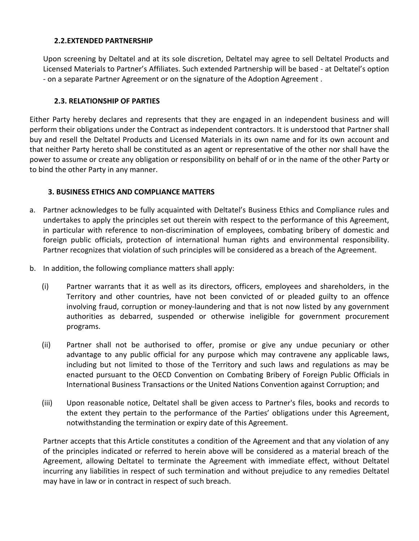### **2.2.EXTENDED PARTNERSHIP**

Upon screening by Deltatel and at its sole discretion, Deltatel may agree to sell Deltatel Products and Licensed Materials to Partner's Affiliates. Such extended Partnership will be based - at Deltatel's option - on a separate Partner Agreement or on the signature of the Adoption Agreement .

### **2.3. RELATIONSHIP OF PARTIES**

Either Party hereby declares and represents that they are engaged in an independent business and will perform their obligations under the Contract as independent contractors. It is understood that Partner shall buy and resell the Deltatel Products and Licensed Materials in its own name and for its own account and that neither Party hereto shall be constituted as an agent or representative of the other nor shall have the power to assume or create any obligation or responsibility on behalf of or in the name of the other Party or to bind the other Party in any manner.

### **3. BUSINESS ETHICS AND COMPLIANCE MATTERS**

- a. Partner acknowledges to be fully acquainted with Deltatel's Business Ethics and Compliance rules and undertakes to apply the principles set out therein with respect to the performance of this Agreement, in particular with reference to non-discrimination of employees, combating bribery of domestic and foreign public officials, protection of international human rights and environmental responsibility. Partner recognizes that violation of such principles will be considered as a breach of the Agreement.
- b. In addition, the following compliance matters shall apply:
	- (i) Partner warrants that it as well as its directors, officers, employees and shareholders, in the Territory and other countries, have not been convicted of or pleaded guilty to an offence involving fraud, corruption or money-laundering and that is not now listed by any government authorities as debarred, suspended or otherwise ineligible for government procurement programs.
	- (ii) Partner shall not be authorised to offer, promise or give any undue pecuniary or other advantage to any public official for any purpose which may contravene any applicable laws, including but not limited to those of the Territory and such laws and regulations as may be enacted pursuant to the OECD Convention on Combating Bribery of Foreign Public Officials in International Business Transactions or the United Nations Convention against Corruption; and
	- (iii) Upon reasonable notice, Deltatel shall be given access to Partner's files, books and records to the extent they pertain to the performance of the Parties' obligations under this Agreement, notwithstanding the termination or expiry date of this Agreement.

Partner accepts that this Article constitutes a condition of the Agreement and that any violation of any of the principles indicated or referred to herein above will be considered as a material breach of the Agreement, allowing Deltatel to terminate the Agreement with immediate effect, without Deltatel incurring any liabilities in respect of such termination and without prejudice to any remedies Deltatel may have in law or in contract in respect of such breach.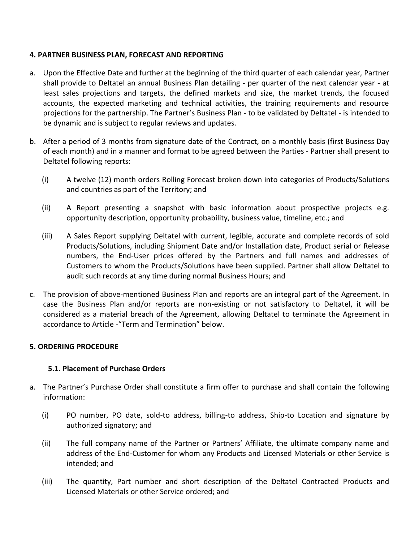### **4. PARTNER BUSINESS PLAN, FORECAST AND REPORTING**

- a. Upon the Effective Date and further at the beginning of the third quarter of each calendar year, Partner shall provide to Deltatel an annual Business Plan detailing - per quarter of the next calendar year - at least sales projections and targets, the defined markets and size, the market trends, the focused accounts, the expected marketing and technical activities, the training requirements and resource projections for the partnership. The Partner's Business Plan - to be validated by Deltatel - is intended to be dynamic and is subject to regular reviews and updates.
- b. After a period of 3 months from signature date of the Contract, on a monthly basis (first Business Day of each month) and in a manner and format to be agreed between the Parties - Partner shall present to Deltatel following reports:
	- (i) A twelve (12) month orders Rolling Forecast broken down into categories of Products/Solutions and countries as part of the Territory; and
	- (ii) A Report presenting a snapshot with basic information about prospective projects e.g. opportunity description, opportunity probability, business value, timeline, etc.; and
	- (iii) A Sales Report supplying Deltatel with current, legible, accurate and complete records of sold Products/Solutions, including Shipment Date and/or Installation date, Product serial or Release numbers, the End-User prices offered by the Partners and full names and addresses of Customers to whom the Products/Solutions have been supplied. Partner shall allow Deltatel to audit such records at any time during normal Business Hours; and
- c. The provision of above-mentioned Business Plan and reports are an integral part of the Agreement. In case the Business Plan and/or reports are non-existing or not satisfactory to Deltatel, it will be considered as a material breach of the Agreement, allowing Deltatel to terminate the Agreement in accordance to Article -"Term and Termination" below.

#### **5. ORDERING PROCEDURE**

#### **5.1. Placement of Purchase Orders**

- a. The Partner's Purchase Order shall constitute a firm offer to purchase and shall contain the following information:
	- (i) PO number, PO date, sold-to address, billing-to address, Ship-to Location and signature by authorized signatory; and
	- (ii) The full company name of the Partner or Partners' Affiliate, the ultimate company name and address of the End-Customer for whom any Products and Licensed Materials or other Service is intended; and
	- (iii) The quantity, Part number and short description of the Deltatel Contracted Products and Licensed Materials or other Service ordered; and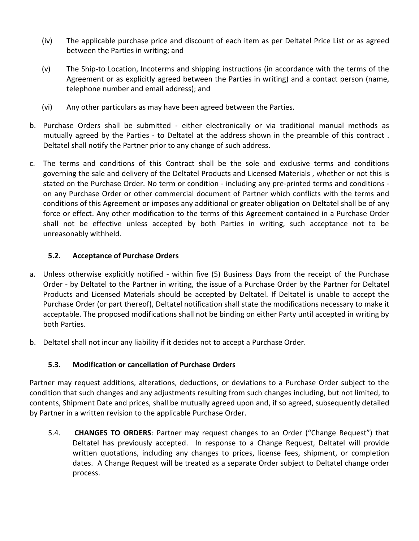- (iv) The applicable purchase price and discount of each item as per Deltatel Price List or as agreed between the Parties in writing; and
- (v) The Ship-to Location, Incoterms and shipping instructions (in accordance with the terms of the Agreement or as explicitly agreed between the Parties in writing) and a contact person (name, telephone number and email address); and
- (vi) Any other particulars as may have been agreed between the Parties.
- b. Purchase Orders shall be submitted either electronically or via traditional manual methods as mutually agreed by the Parties - to Deltatel at the address shown in the preamble of this contract . Deltatel shall notify the Partner prior to any change of such address.
- c. The terms and conditions of this Contract shall be the sole and exclusive terms and conditions governing the sale and delivery of the Deltatel Products and Licensed Materials , whether or not this is stated on the Purchase Order. No term or condition - including any pre-printed terms and conditions on any Purchase Order or other commercial document of Partner which conflicts with the terms and conditions of this Agreement or imposes any additional or greater obligation on Deltatel shall be of any force or effect. Any other modification to the terms of this Agreement contained in a Purchase Order shall not be effective unless accepted by both Parties in writing, such acceptance not to be unreasonably withheld.

### **5.2. Acceptance of Purchase Orders**

- a. Unless otherwise explicitly notified within five (5) Business Days from the receipt of the Purchase Order - by Deltatel to the Partner in writing, the issue of a Purchase Order by the Partner for Deltatel Products and Licensed Materials should be accepted by Deltatel. If Deltatel is unable to accept the Purchase Order (or part thereof), Deltatel notification shall state the modifications necessary to make it acceptable. The proposed modifications shall not be binding on either Party until accepted in writing by both Parties.
- b. Deltatel shall not incur any liability if it decides not to accept a Purchase Order.

# **5.3. Modification or cancellation of Purchase Orders**

Partner may request additions, alterations, deductions, or deviations to a Purchase Order subject to the condition that such changes and any adjustments resulting from such changes including, but not limited, to contents, Shipment Date and prices, shall be mutually agreed upon and, if so agreed, subsequently detailed by Partner in a written revision to the applicable Purchase Order.

5.4. **CHANGES TO ORDERS**: Partner may request changes to an Order ("Change Request") that Deltatel has previously accepted. In response to a Change Request, Deltatel will provide written quotations, including any changes to prices, license fees, shipment, or completion dates. A Change Request will be treated as a separate Order subject to Deltatel change order process.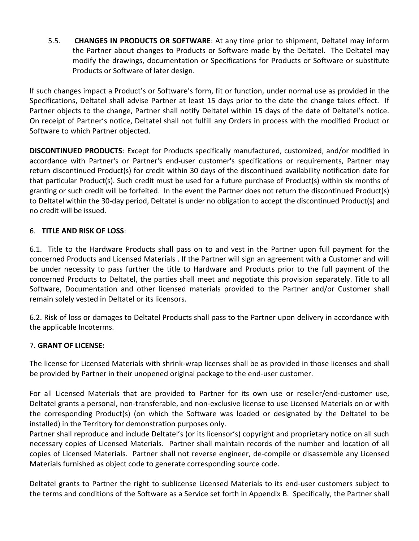5.5. **CHANGES IN PRODUCTS OR SOFTWARE**: At any time prior to shipment, Deltatel may inform the Partner about changes to Products or Software made by the Deltatel. The Deltatel may modify the drawings, documentation or Specifications for Products or Software or substitute Products or Software of later design.

If such changes impact a Product's or Software's form, fit or function, under normal use as provided in the Specifications, Deltatel shall advise Partner at least 15 days prior to the date the change takes effect. If Partner objects to the change, Partner shall notify Deltatel within 15 days of the date of Deltatel's notice. On receipt of Partner's notice, Deltatel shall not fulfill any Orders in process with the modified Product or Software to which Partner objected.

**DISCONTINUED PRODUCTS**: Except for Products specifically manufactured, customized, and/or modified in accordance with Partner's or Partner's end-user customer's specifications or requirements, Partner may return discontinued Product(s) for credit within 30 days of the discontinued availability notification date for that particular Product(s). Such credit must be used for a future purchase of Product(s) within six months of granting or such credit will be forfeited. In the event the Partner does not return the discontinued Product(s) to Deltatel within the 30-day period, Deltatel is under no obligation to accept the discontinued Product(s) and no credit will be issued.

### 6. **TITLE AND RISK OF LOSS**:

6.1. Title to the Hardware Products shall pass on to and vest in the Partner upon full payment for the concerned Products and Licensed Materials . If the Partner will sign an agreement with a Customer and will be under necessity to pass further the title to Hardware and Products prior to the full payment of the concerned Products to Deltatel, the parties shall meet and negotiate this provision separately. Title to all Software, Documentation and other licensed materials provided to the Partner and/or Customer shall remain solely vested in Deltatel or its licensors.

6.2. Risk of loss or damages to Deltatel Products shall pass to the Partner upon delivery in accordance with the applicable Incoterms.

### 7. **GRANT OF LICENSE:**

The license for Licensed Materials with shrink-wrap licenses shall be as provided in those licenses and shall be provided by Partner in their unopened original package to the end-user customer.

For all Licensed Materials that are provided to Partner for its own use or reseller/end-customer use, Deltatel grants a personal, non-transferable, and non-exclusive license to use Licensed Materials on or with the corresponding Product(s) (on which the Software was loaded or designated by the Deltatel to be installed) in the Territory for demonstration purposes only.

Partner shall reproduce and include Deltatel's (or its licensor's) copyright and proprietary notice on all such necessary copies of Licensed Materials. Partner shall maintain records of the number and location of all copies of Licensed Materials. Partner shall not reverse engineer, de-compile or disassemble any Licensed Materials furnished as object code to generate corresponding source code.

Deltatel grants to Partner the right to sublicense Licensed Materials to its end-user customers subject to the terms and conditions of the Software as a Service set forth in Appendix B. Specifically, the Partner shall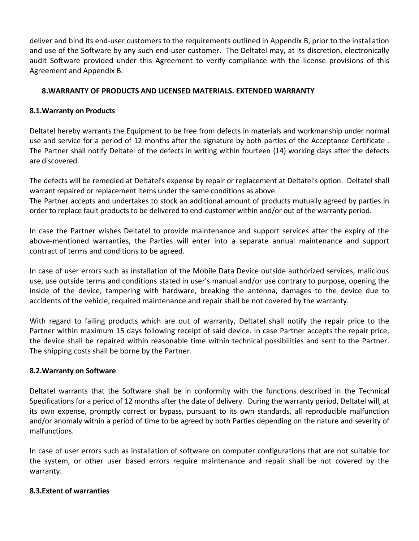deliver and bind its end-user customers to the requirements outlined in Appendix B, prior to the installation and use of the Software by any such end-user customer. The Deltatel may, at its discretion, electronically audit Software provided under this Agreement to verify compliance with the license provisions of this Agreement and Appendix B.

### **8.WARRANTY OF PRODUCTS AND LICENSED MATERIALS. EXTENDED WARRANTY**

#### **8.1.Warranty on Products**

Deltatel hereby warrants the Equipment to be free from defects in materials and workmanship under normal use and service for a period of 12 months after the signature by both parties of the Acceptance Certificate . The Partner shall notify Deltatel of the defects in writing within fourteen (14) working days after the defects are discovered.

The defects will be remedied at Deltatel's expense by repair or replacement at Deltatel's option. Deltatel shall warrant repaired or replacement items under the same conditions as above.

The Partner accepts and undertakes to stock an additional amount of products mutually agreed by parties in order to replace fault products to be delivered to end-customer within and/or out of the warranty period.

In case the Partner wishes Deltatel to provide maintenance and support services after the expiry of the above-mentioned warranties, the Parties will enter into a separate annual maintenance and support contract of terms and conditions to be agreed.

In case of user errors such as installation of the Mobile Data Device outside authorized services, malicious use, use outside terms and conditions stated in user's manual and/or use contrary to purpose, opening the inside of the device, tampering with hardware, breaking the antenna, damages to the device due to accidents of the vehicle, required maintenance and repair shall be not covered by the warranty.

With regard to failing products which are out of warranty, Deltatel shall notify the repair price to the Partner within maximum 15 days following receipt of said device. In case Partner accepts the repair price, the device shall be repaired within reasonable time within technical possibilities and sent to the Partner. The shipping costs shall be borne by the Partner.

#### **8.2.Warranty on Software**

Deltatel warrants that the Software shall be in conformity with the functions described in the Technical Specifications for a period of 12 months after the date of delivery. During the warranty period, Deltatel will, at its own expense, promptly correct or bypass, pursuant to its own standards, all reproducible malfunction and/or anomaly within a period of time to be agreed by both Parties depending on the nature and severity of malfunctions.

In case of user errors such as installation of software on computer configurations that are not suitable for the system, or other user based errors require maintenance and repair shall be not covered by the warranty.

#### **8.3.Extent of warranties**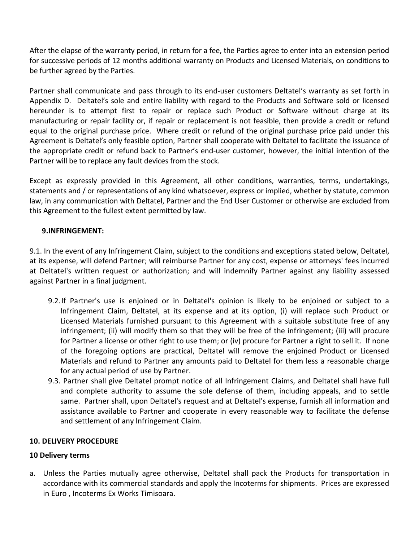After the elapse of the warranty period, in return for a fee, the Parties agree to enter into an extension period for successive periods of 12 months additional warranty on Products and Licensed Materials, on conditions to be further agreed by the Parties.

Partner shall communicate and pass through to its end-user customers Deltatel's warranty as set forth in Appendix D. Deltatel's sole and entire liability with regard to the Products and Software sold or licensed hereunder is to attempt first to repair or replace such Product or Software without charge at its manufacturing or repair facility or, if repair or replacement is not feasible, then provide a credit or refund equal to the original purchase price. Where credit or refund of the original purchase price paid under this Agreement is Deltatel's only feasible option, Partner shall cooperate with Deltatel to facilitate the issuance of the appropriate credit or refund back to Partner's end-user customer, however, the initial intention of the Partner will be to replace any fault devices from the stock.

Except as expressly provided in this Agreement, all other conditions, warranties, terms, undertakings, statements and / or representations of any kind whatsoever, express or implied, whether by statute, common law, in any communication with Deltatel, Partner and the End User Customer or otherwise are excluded from this Agreement to the fullest extent permitted by law.

### **9.INFRINGEMENT:**

9.1. In the event of any Infringement Claim, subject to the conditions and exceptions stated below, Deltatel, at its expense, will defend Partner; will reimburse Partner for any cost, expense or attorneys' fees incurred at Deltatel's written request or authorization; and will indemnify Partner against any liability assessed against Partner in a final judgment.

- 9.2.If Partner's use is enjoined or in Deltatel's opinion is likely to be enjoined or subject to a Infringement Claim, Deltatel, at its expense and at its option, (i) will replace such Product or Licensed Materials furnished pursuant to this Agreement with a suitable substitute free of any infringement; (ii) will modify them so that they will be free of the infringement; (iii) will procure for Partner a license or other right to use them; or (iv) procure for Partner a right to sell it. If none of the foregoing options are practical, Deltatel will remove the enjoined Product or Licensed Materials and refund to Partner any amounts paid to Deltatel for them less a reasonable charge for any actual period of use by Partner.
- 9.3. Partner shall give Deltatel prompt notice of all Infringement Claims, and Deltatel shall have full and complete authority to assume the sole defense of them, including appeals, and to settle same. Partner shall, upon Deltatel's request and at Deltatel's expense, furnish all information and assistance available to Partner and cooperate in every reasonable way to facilitate the defense and settlement of any Infringement Claim.

### **10. DELIVERY PROCEDURE**

### **10 Delivery terms**

a. Unless the Parties mutually agree otherwise, Deltatel shall pack the Products for transportation in accordance with its commercial standards and apply the Incoterms for shipments. Prices are expressed in Euro , Incoterms Ex Works Timisoara.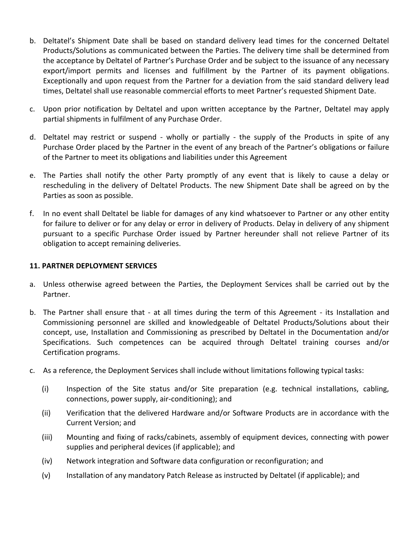- b. Deltatel's Shipment Date shall be based on standard delivery lead times for the concerned Deltatel Products/Solutions as communicated between the Parties. The delivery time shall be determined from the acceptance by Deltatel of Partner's Purchase Order and be subject to the issuance of any necessary export/import permits and licenses and fulfillment by the Partner of its payment obligations. Exceptionally and upon request from the Partner for a deviation from the said standard delivery lead times, Deltatel shall use reasonable commercial efforts to meet Partner's requested Shipment Date.
- c. Upon prior notification by Deltatel and upon written acceptance by the Partner, Deltatel may apply partial shipments in fulfilment of any Purchase Order.
- d. Deltatel may restrict or suspend wholly or partially the supply of the Products in spite of any Purchase Order placed by the Partner in the event of any breach of the Partner's obligations or failure of the Partner to meet its obligations and liabilities under this Agreement
- e. The Parties shall notify the other Party promptly of any event that is likely to cause a delay or rescheduling in the delivery of Deltatel Products. The new Shipment Date shall be agreed on by the Parties as soon as possible.
- f. In no event shall Deltatel be liable for damages of any kind whatsoever to Partner or any other entity for failure to deliver or for any delay or error in delivery of Products. Delay in delivery of any shipment pursuant to a specific Purchase Order issued by Partner hereunder shall not relieve Partner of its obligation to accept remaining deliveries.

#### **11. PARTNER DEPLOYMENT SERVICES**

- a. Unless otherwise agreed between the Parties, the Deployment Services shall be carried out by the Partner.
- b. The Partner shall ensure that at all times during the term of this Agreement its Installation and Commissioning personnel are skilled and knowledgeable of Deltatel Products/Solutions about their concept, use, Installation and Commissioning as prescribed by Deltatel in the Documentation and/or Specifications. Such competences can be acquired through Deltatel training courses and/or Certification programs.
- c. As a reference, the Deployment Services shall include without limitations following typical tasks:
	- (i) Inspection of the Site status and/or Site preparation (e.g. technical installations, cabling, connections, power supply, air-conditioning); and
	- (ii) Verification that the delivered Hardware and/or Software Products are in accordance with the Current Version; and
	- (iii) Mounting and fixing of racks/cabinets, assembly of equipment devices, connecting with power supplies and peripheral devices (if applicable); and
	- (iv) Network integration and Software data configuration or reconfiguration; and
	- (v) Installation of any mandatory Patch Release as instructed by Deltatel (if applicable); and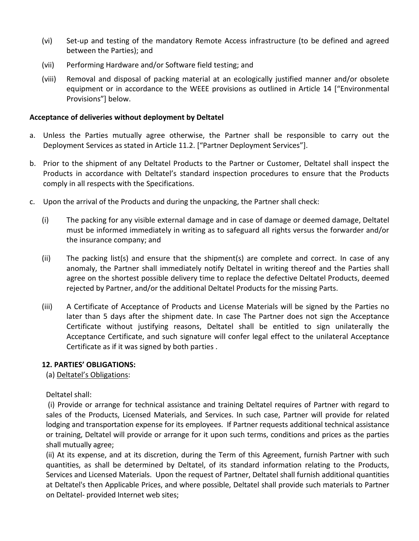- (vi) Set-up and testing of the mandatory Remote Access infrastructure (to be defined and agreed between the Parties); and
- (vii) Performing Hardware and/or Software field testing; and
- (viii) Removal and disposal of packing material at an ecologically justified manner and/or obsolete equipment or in accordance to the WEEE provisions as outlined in Article [14](#page-10-0) ["Environmental Provisions"] below.

#### **Acceptance of deliveries without deployment by Deltatel**

- a. Unless the Parties mutually agree otherwise, the Partner shall be responsible to carry out the Deployment Services as stated in Article 11.2. ["Partner Deployment Services"].
- b. Prior to the shipment of any Deltatel Products to the Partner or Customer, Deltatel shall inspect the Products in accordance with Deltatel's standard inspection procedures to ensure that the Products comply in all respects with the Specifications.
- c. Upon the arrival of the Products and during the unpacking, the Partner shall check:
	- (i) The packing for any visible external damage and in case of damage or deemed damage, Deltatel must be informed immediately in writing as to safeguard all rights versus the forwarder and/or the insurance company; and
	- (ii) The packing list(s) and ensure that the shipment(s) are complete and correct. In case of any anomaly, the Partner shall immediately notify Deltatel in writing thereof and the Parties shall agree on the shortest possible delivery time to replace the defective Deltatel Products, deemed rejected by Partner, and/or the additional Deltatel Products for the missing Parts.
	- (iii) A Certificate of Acceptance of Products and License Materials will be signed by the Parties no later than 5 days after the shipment date. In case The Partner does not sign the Acceptance Certificate without justifying reasons, Deltatel shall be entitled to sign unilaterally the Acceptance Certificate, and such signature will confer legal effect to the unilateral Acceptance Certificate as if it was signed by both parties .

#### **12. PARTIES' OBLIGATIONS:**

(a) Deltatel's Obligations:

Deltatel shall:

(i) Provide or arrange for technical assistance and training Deltatel requires of Partner with regard to sales of the Products, Licensed Materials, and Services. In such case, Partner will provide for related lodging and transportation expense for its employees. If Partner requests additional technical assistance or training, Deltatel will provide or arrange for it upon such terms, conditions and prices as the parties shall mutually agree;

(ii) At its expense, and at its discretion, during the Term of this Agreement, furnish Partner with such quantities, as shall be determined by Deltatel, of its standard information relating to the Products, Services and Licensed Materials. Upon the request of Partner, Deltatel shall furnish additional quantities at Deltatel's then Applicable Prices, and where possible, Deltatel shall provide such materials to Partner on Deltatel- provided Internet web sites;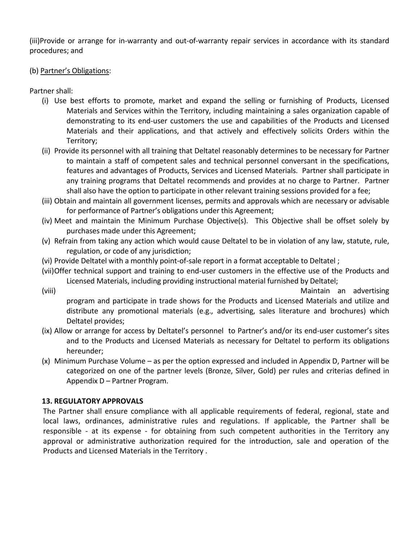(iii)Provide or arrange for in-warranty and out-of-warranty repair services in accordance with its standard procedures; and

#### (b) Partner's Obligations:

Partner shall:

- (i) Use best efforts to promote, market and expand the selling or furnishing of Products, Licensed Materials and Services within the Territory, including maintaining a sales organization capable of demonstrating to its end-user customers the use and capabilities of the Products and Licensed Materials and their applications, and that actively and effectively solicits Orders within the Territory;
- (ii) Provide its personnel with all training that Deltatel reasonably determines to be necessary for Partner to maintain a staff of competent sales and technical personnel conversant in the specifications, features and advantages of Products, Services and Licensed Materials. Partner shall participate in any training programs that Deltatel recommends and provides at no charge to Partner. Partner shall also have the option to participate in other relevant training sessions provided for a fee;
- (iii) Obtain and maintain all government licenses, permits and approvals which are necessary or advisable for performance of Partner's obligations under this Agreement;
- (iv) Meet and maintain the Minimum Purchase Objective(s). This Objective shall be offset solely by purchases made under this Agreement;
- (v) Refrain from taking any action which would cause Deltatel to be in violation of any law, statute, rule, regulation, or code of any jurisdiction;
- (vi) Provide Deltatel with a monthly point-of-sale report in a format acceptable to Deltatel ;
- (vii)Offer technical support and training to end-user customers in the effective use of the Products and Licensed Materials, including providing instructional material furnished by Deltatel;
- (viii) Maintain an advertising program and participate in trade shows for the Products and Licensed Materials and utilize and distribute any promotional materials (e.g., advertising, sales literature and brochures) which Deltatel provides;
- (ix) Allow or arrange for access by Deltatel's personnel to Partner's and/or its end-user customer's sites and to the Products and Licensed Materials as necessary for Deltatel to perform its obligations hereunder;
- (x) Minimum Purchase Volume as per the option expressed and included in Appendix D, Partner will be categorized on one of the partner levels (Bronze, Silver, Gold) per rules and criterias defined in Appendix D – Partner Program.

### **13. REGULATORY APPROVALS**

The Partner shall ensure compliance with all applicable requirements of federal, regional, state and local laws, ordinances, administrative rules and regulations. If applicable, the Partner shall be responsible - at its expense - for obtaining from such competent authorities in the Territory any approval or administrative authorization required for the introduction, sale and operation of the Products and Licensed Materials in the Territory .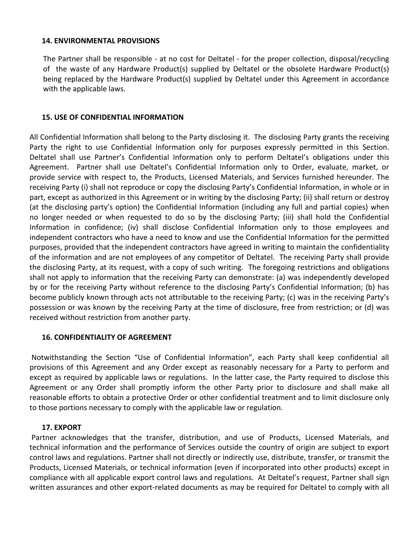#### <span id="page-10-0"></span>**14. ENVIRONMENTAL PROVISIONS**

The Partner shall be responsible - at no cost for Deltatel - for the proper collection, disposal/recycling of the waste of any Hardware Product(s) supplied by Deltatel or the obsolete Hardware Product(s) being replaced by the Hardware Product(s) supplied by Deltatel under this Agreement in accordance with the applicable laws.

#### **15. USE OF CONFIDENTIAL INFORMATION**

All Confidential Information shall belong to the Party disclosing it. The disclosing Party grants the receiving Party the right to use Confidential Information only for purposes expressly permitted in this Section. Deltatel shall use Partner's Confidential Information only to perform Deltatel's obligations under this Agreement. Partner shall use Deltatel's Confidential Information only to Order, evaluate, market, or provide service with respect to, the Products, Licensed Materials, and Services furnished hereunder. The receiving Party (i) shall not reproduce or copy the disclosing Party's Confidential Information, in whole or in part, except as authorized in this Agreement or in writing by the disclosing Party; (ii) shall return or destroy (at the disclosing party's option) the Confidential Information (including any full and partial copies) when no longer needed or when requested to do so by the disclosing Party; (iii) shall hold the Confidential Information in confidence; (iv) shall disclose Confidential Information only to those employees and independent contractors who have a need to know and use the Confidential Information for the permitted purposes, provided that the independent contractors have agreed in writing to maintain the confidentiality of the information and are not employees of any competitor of Deltatel. The receiving Party shall provide the disclosing Party, at its request, with a copy of such writing. The foregoing restrictions and obligations shall not apply to information that the receiving Party can demonstrate: (a) was independently developed by or for the receiving Party without reference to the disclosing Party's Confidential Information; (b) has become publicly known through acts not attributable to the receiving Party; (c) was in the receiving Party's possession or was known by the receiving Party at the time of disclosure, free from restriction; or (d) was received without restriction from another party.

#### **16. CONFIDENTIALITY OF AGREEMENT**

Notwithstanding the Section "Use of Confidential Information", each Party shall keep confidential all provisions of this Agreement and any Order except as reasonably necessary for a Party to perform and except as required by applicable laws or regulations. In the latter case, the Party required to disclose this Agreement or any Order shall promptly inform the other Party prior to disclosure and shall make all reasonable efforts to obtain a protective Order or other confidential treatment and to limit disclosure only to those portions necessary to comply with the applicable law or regulation.

#### **17. EXPORT**

Partner acknowledges that the transfer, distribution, and use of Products, Licensed Materials, and technical information and the performance of Services outside the country of origin are subject to export control laws and regulations. Partner shall not directly or indirectly use, distribute, transfer, or transmit the Products, Licensed Materials, or technical information (even if incorporated into other products) except in compliance with all applicable export control laws and regulations. At Deltatel's request, Partner shall sign written assurances and other export-related documents as may be required for Deltatel to comply with all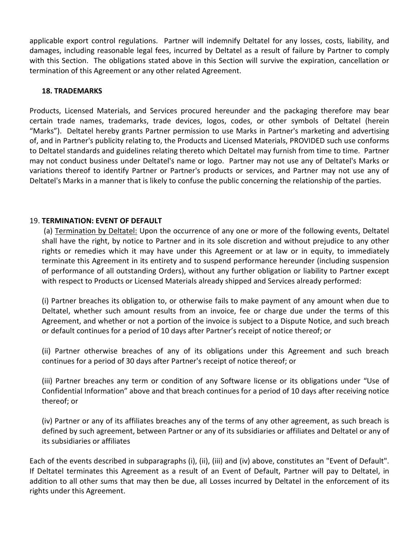applicable export control regulations. Partner will indemnify Deltatel for any losses, costs, liability, and damages, including reasonable legal fees, incurred by Deltatel as a result of failure by Partner to comply with this Section. The obligations stated above in this Section will survive the expiration, cancellation or termination of this Agreement or any other related Agreement.

#### **18. TRADEMARKS**

Products, Licensed Materials, and Services procured hereunder and the packaging therefore may bear certain trade names, trademarks, trade devices, logos, codes, or other symbols of Deltatel (herein "Marks"). Deltatel hereby grants Partner permission to use Marks in Partner's marketing and advertising of, and in Partner's publicity relating to, the Products and Licensed Materials, PROVIDED such use conforms to Deltatel standards and guidelines relating thereto which Deltatel may furnish from time to time. Partner may not conduct business under Deltatel's name or logo. Partner may not use any of Deltatel's Marks or variations thereof to identify Partner or Partner's products or services, and Partner may not use any of Deltatel's Marks in a manner that is likely to confuse the public concerning the relationship of the parties.

#### 19. **TERMINATION: EVENT OF DEFAULT**

(a) Termination by Deltatel: Upon the occurrence of any one or more of the following events, Deltatel shall have the right, by notice to Partner and in its sole discretion and without prejudice to any other rights or remedies which it may have under this Agreement or at law or in equity, to immediately terminate this Agreement in its entirety and to suspend performance hereunder (including suspension of performance of all outstanding Orders), without any further obligation or liability to Partner except with respect to Products or Licensed Materials already shipped and Services already performed:

(i) Partner breaches its obligation to, or otherwise fails to make payment of any amount when due to Deltatel, whether such amount results from an invoice, fee or charge due under the terms of this Agreement, and whether or not a portion of the invoice is subject to a Dispute Notice, and such breach or default continues for a period of 10 days after Partner's receipt of notice thereof; or

(ii) Partner otherwise breaches of any of its obligations under this Agreement and such breach continues for a period of 30 days after Partner's receipt of notice thereof; or

(iii) Partner breaches any term or condition of any Software license or its obligations under "Use of Confidential Information" above and that breach continues for a period of 10 days after receiving notice thereof; or

(iv) Partner or any of its affiliates breaches any of the terms of any other agreement, as such breach is defined by such agreement, between Partner or any of its subsidiaries or affiliates and Deltatel or any of its subsidiaries or affiliates

Each of the events described in subparagraphs (i), (ii), (iii) and (iv) above, constitutes an "Event of Default". If Deltatel terminates this Agreement as a result of an Event of Default, Partner will pay to Deltatel, in addition to all other sums that may then be due, all Losses incurred by Deltatel in the enforcement of its rights under this Agreement.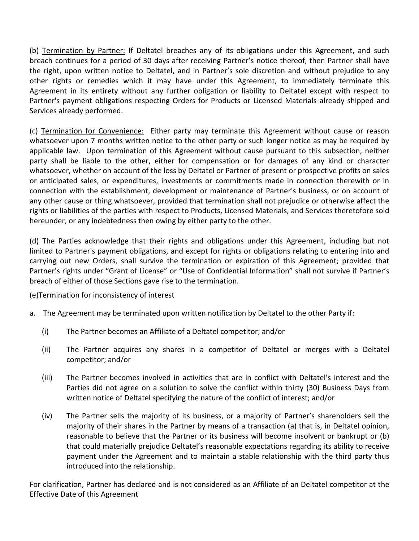(b) Termination by Partner: If Deltatel breaches any of its obligations under this Agreement, and such breach continues for a period of 30 days after receiving Partner's notice thereof, then Partner shall have the right, upon written notice to Deltatel, and in Partner's sole discretion and without prejudice to any other rights or remedies which it may have under this Agreement, to immediately terminate this Agreement in its entirety without any further obligation or liability to Deltatel except with respect to Partner's payment obligations respecting Orders for Products or Licensed Materials already shipped and Services already performed.

(c) Termination for Convenience: Either party may terminate this Agreement without cause or reason whatsoever upon 7 months written notice to the other party or such longer notice as may be required by applicable law. Upon termination of this Agreement without cause pursuant to this subsection, neither party shall be liable to the other, either for compensation or for damages of any kind or character whatsoever, whether on account of the loss by Deltatel or Partner of present or prospective profits on sales or anticipated sales, or expenditures, investments or commitments made in connection therewith or in connection with the establishment, development or maintenance of Partner's business, or on account of any other cause or thing whatsoever, provided that termination shall not prejudice or otherwise affect the rights or liabilities of the parties with respect to Products, Licensed Materials, and Services theretofore sold hereunder, or any indebtedness then owing by either party to the other.

(d) The Parties acknowledge that their rights and obligations under this Agreement, including but not limited to Partner's payment obligations, and except for rights or obligations relating to entering into and carrying out new Orders, shall survive the termination or expiration of this Agreement; provided that Partner's rights under "Grant of License" or "Use of Confidential Information" shall not survive if Partner's breach of either of those Sections gave rise to the termination.

(e)Termination for inconsistency of interest

- a. The Agreement may be terminated upon written notification by Deltatel to the other Party if:
	- (i) The Partner becomes an Affiliate of a Deltatel competitor; and/or
	- (ii) The Partner acquires any shares in a competitor of Deltatel or merges with a Deltatel competitor; and/or
	- (iii) The Partner becomes involved in activities that are in conflict with Deltatel's interest and the Parties did not agree on a solution to solve the conflict within thirty (30) Business Days from written notice of Deltatel specifying the nature of the conflict of interest; and/or
	- (iv) The Partner sells the majority of its business, or a majority of Partner's shareholders sell the majority of their shares in the Partner by means of a transaction (a) that is, in Deltatel opinion, reasonable to believe that the Partner or its business will become insolvent or bankrupt or (b) that could materially prejudice Deltatel's reasonable expectations regarding its ability to receive payment under the Agreement and to maintain a stable relationship with the third party thus introduced into the relationship.

For clarification, Partner has declared and is not considered as an Affiliate of an Deltatel competitor at the Effective Date of this Agreement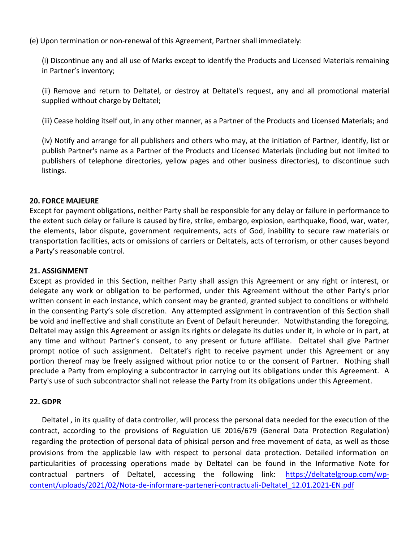(e) Upon termination or non-renewal of this Agreement, Partner shall immediately:

(i) Discontinue any and all use of Marks except to identify the Products and Licensed Materials remaining in Partner's inventory;

(ii) Remove and return to Deltatel, or destroy at Deltatel's request, any and all promotional material supplied without charge by Deltatel;

(iii) Cease holding itself out, in any other manner, as a Partner of the Products and Licensed Materials; and

(iv) Notify and arrange for all publishers and others who may, at the initiation of Partner, identify, list or publish Partner's name as a Partner of the Products and Licensed Materials (including but not limited to publishers of telephone directories, yellow pages and other business directories), to discontinue such listings.

#### **20. FORCE MAJEURE**

Except for payment obligations, neither Party shall be responsible for any delay or failure in performance to the extent such delay or failure is caused by fire, strike, embargo, explosion, earthquake, flood, war, water, the elements, labor dispute, government requirements, acts of God, inability to secure raw materials or transportation facilities, acts or omissions of carriers or Deltatels, acts of terrorism, or other causes beyond a Party's reasonable control.

#### **21. ASSIGNMENT**

Except as provided in this Section, neither Party shall assign this Agreement or any right or interest, or delegate any work or obligation to be performed, under this Agreement without the other Party's prior written consent in each instance, which consent may be granted, granted subject to conditions or withheld in the consenting Party's sole discretion. Any attempted assignment in contravention of this Section shall be void and ineffective and shall constitute an Event of Default hereunder. Notwithstanding the foregoing, Deltatel may assign this Agreement or assign its rights or delegate its duties under it, in whole or in part, at any time and without Partner's consent, to any present or future affiliate. Deltatel shall give Partner prompt notice of such assignment. Deltatel's right to receive payment under this Agreement or any portion thereof may be freely assigned without prior notice to or the consent of Partner. Nothing shall preclude a Party from employing a subcontractor in carrying out its obligations under this Agreement. A Party's use of such subcontractor shall not release the Party from its obligations under this Agreement.

#### **22. GDPR**

Deltatel , in its quality of data controller, will process the personal data needed for the execution of the contract, according to the provisions of Regulation UE 2016/679 (General Data Protection Regulation) regarding the protection of personal data of phisical person and free movement of data, as well as those provisions from the applicable law with respect to personal data protection. Detailed information on particularities of processing operations made by Deltatel can be found in the Informative Note for contractual partners of Deltatel, accessing the following link: [https://deltatelgroup.com/wp](https://deltatelgroup.com/wp-content/uploads/2021/02/Nota-de-informare-parteneri-contractuali-Deltatel_12.01.2021-EN.pdf)[content/uploads/2021/02/Nota-de-informare-parteneri-contractuali-Deltatel\\_12.01.2021-EN.pdf](https://deltatelgroup.com/wp-content/uploads/2021/02/Nota-de-informare-parteneri-contractuali-Deltatel_12.01.2021-EN.pdf)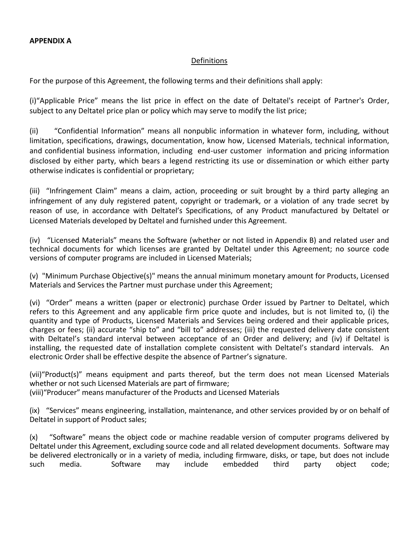#### Definitions

For the purpose of this Agreement, the following terms and their definitions shall apply:

(i)"Applicable Price" means the list price in effect on the date of Deltatel's receipt of Partner's Order, subject to any Deltatel price plan or policy which may serve to modify the list price;

(ii) "Confidential Information" means all nonpublic information in whatever form, including, without limitation, specifications, drawings, documentation, know how, Licensed Materials, technical information, and confidential business information, including end-user customer information and pricing information disclosed by either party, which bears a legend restricting its use or dissemination or which either party otherwise indicates is confidential or proprietary;

(iii) "Infringement Claim" means a claim, action, proceeding or suit brought by a third party alleging an infringement of any duly registered patent, copyright or trademark, or a violation of any trade secret by reason of use, in accordance with Deltatel's Specifications, of any Product manufactured by Deltatel or Licensed Materials developed by Deltatel and furnished under this Agreement.

(iv) "Licensed Materials" means the Software (whether or not listed in Appendix B) and related user and technical documents for which licenses are granted by Deltatel under this Agreement; no source code versions of computer programs are included in Licensed Materials;

(v) "Minimum Purchase Objective(s)" means the annual minimum monetary amount for Products, Licensed Materials and Services the Partner must purchase under this Agreement;

(vi) "Order" means a written (paper or electronic) purchase Order issued by Partner to Deltatel, which refers to this Agreement and any applicable firm price quote and includes, but is not limited to, (i) the quantity and type of Products, Licensed Materials and Services being ordered and their applicable prices, charges or fees; (ii) accurate "ship to" and "bill to" addresses; (iii) the requested delivery date consistent with Deltatel's standard interval between acceptance of an Order and delivery; and (iv) if Deltatel is installing, the requested date of installation complete consistent with Deltatel's standard intervals. An electronic Order shall be effective despite the absence of Partner's signature.

(vii)"Product(s)" means equipment and parts thereof, but the term does not mean Licensed Materials whether or not such Licensed Materials are part of firmware;

(viii)"Producer" means manufacturer of the Products and Licensed Materials

(ix) "Services" means engineering, installation, maintenance, and other services provided by or on behalf of Deltatel in support of Product sales;

(x) "Software" means the object code or machine readable version of computer programs delivered by Deltatel under this Agreement, excluding source code and all related development documents. Software may be delivered electronically or in a variety of media, including firmware, disks, or tape, but does not include<br>such media. Software may include embedded third party object code; such media. Software may include embedded third party object code;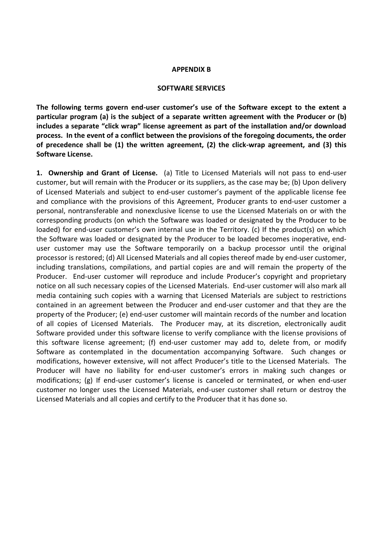#### **APPENDIX B**

#### **SOFTWARE SERVICES**

**The following terms govern end-user customer's use of the Software except to the extent a particular program (a) is the subject of a separate written agreement with the Producer or (b) includes a separate "click wrap" license agreement as part of the installation and/or download process. In the event of a conflict between the provisions of the foregoing documents, the order of precedence shall be (1) the written agreement, (2) the click-wrap agreement, and (3) this Software License.**

**1. Ownership and Grant of License.** (a) Title to Licensed Materials will not pass to end-user customer, but will remain with the Producer or its suppliers, as the case may be; (b) Upon delivery of Licensed Materials and subject to end-user customer's payment of the applicable license fee and compliance with the provisions of this Agreement, Producer grants to end-user customer a personal, nontransferable and nonexclusive license to use the Licensed Materials on or with the corresponding products (on which the Software was loaded or designated by the Producer to be loaded) for end-user customer's own internal use in the Territory. (c) If the product(s) on which the Software was loaded or designated by the Producer to be loaded becomes inoperative, enduser customer may use the Software temporarily on a backup processor until the original processor is restored; (d) All Licensed Materials and all copies thereof made by end-user customer, including translations, compilations, and partial copies are and will remain the property of the Producer. End-user customer will reproduce and include Producer's copyright and proprietary notice on all such necessary copies of the Licensed Materials. End-user customer will also mark all media containing such copies with a warning that Licensed Materials are subject to restrictions contained in an agreement between the Producer and end-user customer and that they are the property of the Producer; (e) end-user customer will maintain records of the number and location of all copies of Licensed Materials. The Producer may, at its discretion, electronically audit Software provided under this software license to verify compliance with the license provisions of this software license agreement; (f) end-user customer may add to, delete from, or modify Software as contemplated in the documentation accompanying Software. Such changes or modifications, however extensive, will not affect Producer's title to the Licensed Materials. The Producer will have no liability for end-user customer's errors in making such changes or modifications; (g) If end-user customer's license is canceled or terminated, or when end-user customer no longer uses the Licensed Materials, end-user customer shall return or destroy the Licensed Materials and all copies and certify to the Producer that it has done so.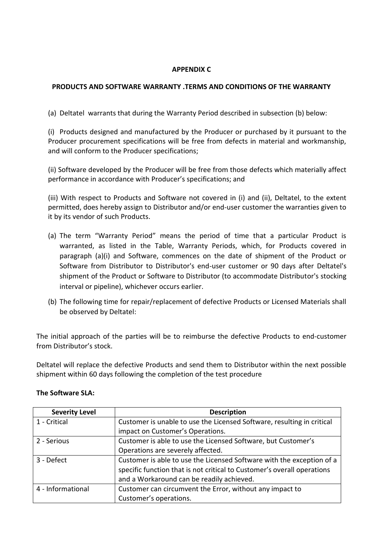### **APPENDIX C**

### **PRODUCTS AND SOFTWARE WARRANTY .TERMS AND CONDITIONS OF THE WARRANTY**

(a) Deltatel warrants that during the Warranty Period described in subsection (b) below:

(i) Products designed and manufactured by the Producer or purchased by it pursuant to the Producer procurement specifications will be free from defects in material and workmanship, and will conform to the Producer specifications;

(ii) Software developed by the Producer will be free from those defects which materially affect performance in accordance with Producer's specifications; and

(iii) With respect to Products and Software not covered in (i) and (ii), Deltatel, to the extent permitted, does hereby assign to Distributor and/or end-user customer the warranties given to it by its vendor of such Products.

- (a) The term "Warranty Period" means the period of time that a particular Product is warranted, as listed in the Table, Warranty Periods, which, for Products covered in paragraph (a)(i) and Software, commences on the date of shipment of the Product or Software from Distributor to Distributor's end-user customer or 90 days after Deltatel's shipment of the Product or Software to Distributor (to accommodate Distributor's stocking interval or pipeline), whichever occurs earlier.
- (b) The following time for repair/replacement of defective Products or Licensed Materials shall be observed by Deltatel:

The initial approach of the parties will be to reimburse the defective Products to end-customer from Distributor's stock.

Deltatel will replace the defective Products and send them to Distributor within the next possible shipment within 60 days following the completion of the test procedure

| <b>Severity Level</b> | <b>Description</b>                                                      |  |
|-----------------------|-------------------------------------------------------------------------|--|
| 1 - Critical          | Customer is unable to use the Licensed Software, resulting in critical  |  |
|                       | impact on Customer's Operations.                                        |  |
| 2 - Serious           | Customer is able to use the Licensed Software, but Customer's           |  |
|                       | Operations are severely affected.                                       |  |
| 3 - Defect            | Customer is able to use the Licensed Software with the exception of a   |  |
|                       | specific function that is not critical to Customer's overall operations |  |
|                       | and a Workaround can be readily achieved.                               |  |
| 4 - Informational     | Customer can circumvent the Error, without any impact to                |  |
|                       | Customer's operations.                                                  |  |

#### **The Software SLA:**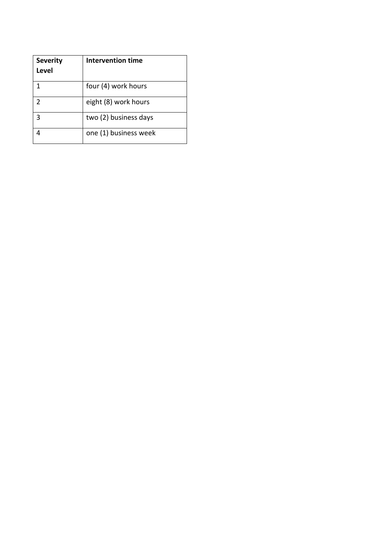| <b>Severity</b><br>Level | Intervention time     |
|--------------------------|-----------------------|
| 1                        | four (4) work hours   |
| $\mathfrak{p}$           | eight (8) work hours  |
| 3                        | two (2) business days |
|                          | one (1) business week |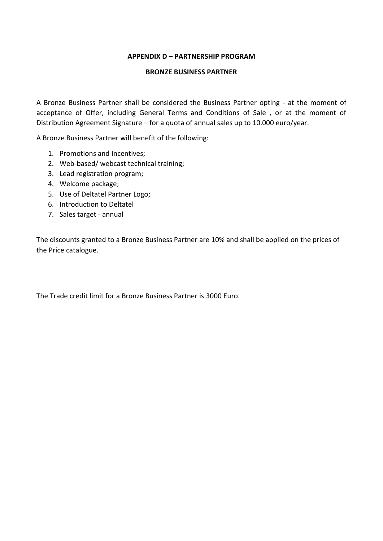#### **APPENDIX D – PARTNERSHIP PROGRAM**

#### **BRONZE BUSINESS PARTNER**

A Bronze Business Partner shall be considered the Business Partner opting - at the moment of acceptance of Offer, including General Terms and Conditions of Sale , or at the moment of Distribution Agreement Signature – for a quota of annual sales up to 10.000 euro/year.

A Bronze Business Partner will benefit of the following:

- 1. Promotions and Incentives;
- 2. Web-based/ webcast technical training;
- 3. Lead registration program;
- 4. Welcome package;
- 5. Use of Deltatel Partner Logo;
- 6. Introduction to Deltatel
- 7. Sales target annual

The discounts granted to a Bronze Business Partner are 10% and shall be applied on the prices of the Price catalogue.

The Trade credit limit for a Bronze Business Partner is 3000 Euro.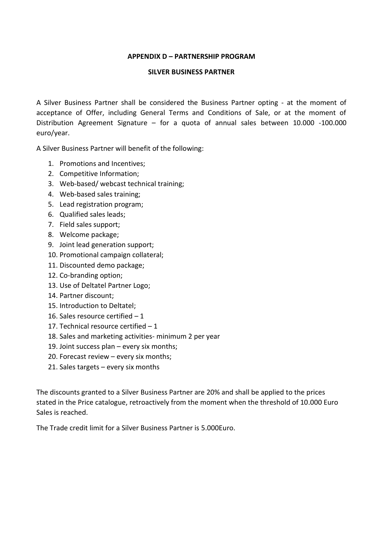#### **APPENDIX D – PARTNERSHIP PROGRAM**

#### **SILVER BUSINESS PARTNER**

A Silver Business Partner shall be considered the Business Partner opting - at the moment of acceptance of Offer, including General Terms and Conditions of Sale, or at the moment of Distribution Agreement Signature – for a quota of annual sales between 10.000 -100.000 euro/year.

A Silver Business Partner will benefit of the following:

- 1. Promotions and Incentives;
- 2. Competitive Information;
- 3. Web-based/ webcast technical training;
- 4. Web-based sales training;
- 5. Lead registration program;
- 6. Qualified sales leads;
- 7. Field sales support;
- 8. Welcome package;
- 9. Joint lead generation support;
- 10. Promotional campaign collateral;
- 11. Discounted demo package;
- 12. Co-branding option;
- 13. Use of Deltatel Partner Logo;
- 14. Partner discount;
- 15. Introduction to Deltatel;
- 16. Sales resource certified 1
- 17. Technical resource certified 1
- 18. Sales and marketing activities- minimum 2 per year
- 19. Joint success plan every six months;
- 20. Forecast review every six months;
- 21. Sales targets every six months

The discounts granted to a Silver Business Partner are 20% and shall be applied to the prices stated in the Price catalogue, retroactively from the moment when the threshold of 10.000 Euro Sales is reached.

The Trade credit limit for a Silver Business Partner is 5.000Euro.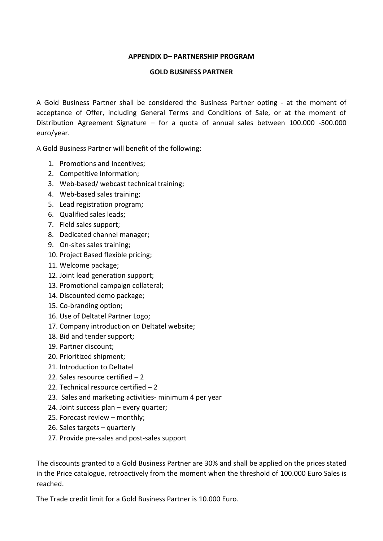#### **APPENDIX D– PARTNERSHIP PROGRAM**

#### **GOLD BUSINESS PARTNER**

A Gold Business Partner shall be considered the Business Partner opting - at the moment of acceptance of Offer, including General Terms and Conditions of Sale, or at the moment of Distribution Agreement Signature – for a quota of annual sales between 100.000 -500.000 euro/year.

A Gold Business Partner will benefit of the following:

- 1. Promotions and Incentives;
- 2. Competitive Information;
- 3. Web-based/ webcast technical training;
- 4. Web-based sales training;
- 5. Lead registration program;
- 6. Qualified sales leads;
- 7. Field sales support;
- 8. Dedicated channel manager;
- 9. On-sites sales training;
- 10. Project Based flexible pricing;
- 11. Welcome package;
- 12. Joint lead generation support;
- 13. Promotional campaign collateral;
- 14. Discounted demo package;
- 15. Co-branding option;
- 16. Use of Deltatel Partner Logo;
- 17. Company introduction on Deltatel website;
- 18. Bid and tender support;
- 19. Partner discount;
- 20. Prioritized shipment;
- 21. Introduction to Deltatel
- 22. Sales resource certified 2
- 22. Technical resource certified 2
- 23. Sales and marketing activities- minimum 4 per year
- 24. Joint success plan every quarter;
- 25. Forecast review monthly;
- 26. Sales targets quarterly
- 27. Provide pre-sales and post-sales support

The discounts granted to a Gold Business Partner are 30% and shall be applied on the prices stated in the Price catalogue, retroactively from the moment when the threshold of 100.000 Euro Sales is reached.

The Trade credit limit for a Gold Business Partner is 10.000 Euro.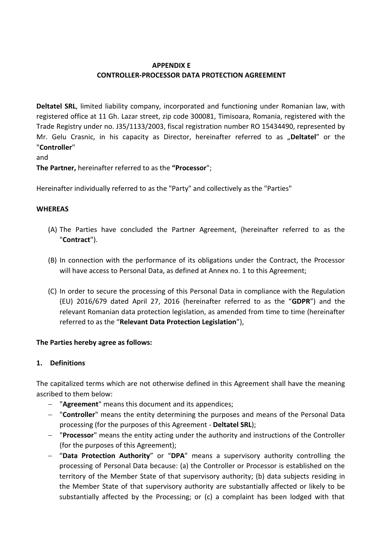# **APPENDIX E CONTROLLER-PROCESSOR DATA PROTECTION AGREEMENT**

**Deltatel SRL**, limited liability company, incorporated and functioning under Romanian law, with registered office at 11 Gh. Lazar street, zip code 300081, Timisoara, Romania, registered with the Trade Registry under no. J35/1133/2003, fiscal registration number RO 15434490, represented by Mr. Gelu Crasnic, in his capacity as Director, hereinafter referred to as "Deltatel" or the "**Controller**"

and

**The Partner,** hereinafter referred to as the **"Processor**";

Hereinafter individually referred to as the "Party" and collectively as the "Parties"

### **WHEREAS**

- (A) The Parties have concluded the Partner Agreement, (hereinafter referred to as the "**Contract**").
- (B) In connection with the performance of its obligations under the Contract, the Processor will have access to Personal Data, as defined at Annex no. 1 to this Agreement;
- (C) In order to secure the processing of this Personal Data in compliance with the Regulation (EU) 2016/679 dated April 27, 2016 (hereinafter referred to as the "**GDPR**") and the relevant Romanian data protection legislation, as amended from time to time (hereinafter referred to as the "**Relevant Data Protection Legislation**"),

### **The Parties hereby agree as follows:**

### **1. Definitions**

The capitalized terms which are not otherwise defined in this Agreement shall have the meaning ascribed to them below:

- − "**Agreement**" means this document and its appendices;
- − "**Controller**" means the entity determining the purposes and means of the Personal Data processing (for the purposes of this Agreement - **Deltatel SRL**);
- − "**Processor**" means the entity acting under the authority and instructions of the Controller (for the purposes of this Agreement);
- − "**Data Protection Authority**" or "**DPA**" means a supervisory authority controlling the processing of Personal Data because: (a) the Controller or Processor is established on the territory of the Member State of that supervisory authority; (b) data subjects residing in the Member State of that supervisory authority are substantially affected or likely to be substantially affected by the Processing; or (c) a complaint has been lodged with that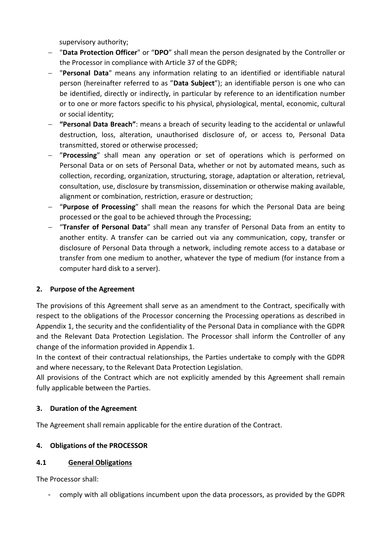supervisory authority;

- − "**Data Protection Officer**" or "**DPO**" shall mean the person designated by the Controller or the Processor in compliance with Article 37 of the GDPR;
- − "**Personal Data**" means any information relating to an identified or identifiable natural person (hereinafter referred to as "**Data Subject**"); an identifiable person is one who can be identified, directly or indirectly, in particular by reference to an identification number or to one or more factors specific to his physical, physiological, mental, economic, cultural or social identity;
- − **"Personal Data Breach"**: means a breach of security leading to the accidental or unlawful destruction, loss, alteration, unauthorised disclosure of, or access to, Personal Data transmitted, stored or otherwise processed;
- − "**Processing**" shall mean any operation or set of operations which is performed on Personal Data or on sets of Personal Data, whether or not by automated means, such as collection, recording, organization, structuring, storage, adaptation or alteration, retrieval, consultation, use, disclosure by transmission, dissemination or otherwise making available, alignment or combination, restriction, erasure or destruction;
- − "**Purpose of Processing**" shall mean the reasons for which the Personal Data are being processed or the goal to be achieved through the Processing;
- − "**Transfer of Personal Data**" shall mean any transfer of Personal Data from an entity to another entity. A transfer can be carried out via any communication, copy, transfer or disclosure of Personal Data through a network, including remote access to a database or transfer from one medium to another, whatever the type of medium (for instance from a computer hard disk to a server).

### **2. Purpose of the Agreement**

The provisions of this Agreement shall serve as an amendment to the Contract, specifically with respect to the obligations of the Processor concerning the Processing operations as described in Appendix 1, the security and the confidentiality of the Personal Data in compliance with the GDPR and the Relevant Data Protection Legislation. The Processor shall inform the Controller of any change of the information provided in Appendix 1.

In the context of their contractual relationships, the Parties undertake to comply with the GDPR and where necessary, to the Relevant Data Protection Legislation.

All provisions of the Contract which are not explicitly amended by this Agreement shall remain fully applicable between the Parties.

### **3. Duration of the Agreement**

The Agreement shall remain applicable for the entire duration of the Contract.

### **4. Obligations of the PROCESSOR**

### **4.1 General Obligations**

The Processor shall:

- comply with all obligations incumbent upon the data processors, as provided by the GDPR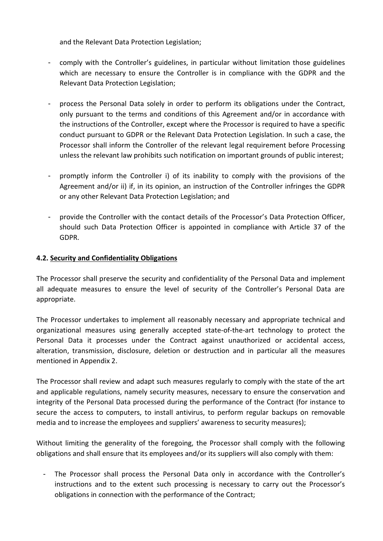and the Relevant Data Protection Legislation;

- comply with the Controller's guidelines, in particular without limitation those guidelines which are necessary to ensure the Controller is in compliance with the GDPR and the Relevant Data Protection Legislation;
- process the Personal Data solely in order to perform its obligations under the Contract, only pursuant to the terms and conditions of this Agreement and/or in accordance with the instructions of the Controller, except where the Processor is required to have a specific conduct pursuant to GDPR or the Relevant Data Protection Legislation. In such a case, the Processor shall inform the Controller of the relevant legal requirement before Processing unless the relevant law prohibits such notification on important grounds of public interest;
- promptly inform the Controller i) of its inability to comply with the provisions of the Agreement and/or ii) if, in its opinion, an instruction of the Controller infringes the GDPR or any other Relevant Data Protection Legislation; and
- provide the Controller with the contact details of the Processor's Data Protection Officer, should such Data Protection Officer is appointed in compliance with Article 37 of the GDPR.

### **4.2. Security and Confidentiality Obligations**

The Processor shall preserve the security and confidentiality of the Personal Data and implement all adequate measures to ensure the level of security of the Controller's Personal Data are appropriate.

The Processor undertakes to implement all reasonably necessary and appropriate technical and organizational measures using generally accepted state-of-the-art technology to protect the Personal Data it processes under the Contract against unauthorized or accidental access, alteration, transmission, disclosure, deletion or destruction and in particular all the measures mentioned in Appendix 2.

The Processor shall review and adapt such measures regularly to comply with the state of the art and applicable regulations, namely security measures, necessary to ensure the conservation and integrity of the Personal Data processed during the performance of the Contract (for instance to secure the access to computers, to install antivirus, to perform regular backups on removable media and to increase the employees and suppliers' awareness to security measures);

Without limiting the generality of the foregoing, the Processor shall comply with the following obligations and shall ensure that its employees and/or its suppliers will also comply with them:

The Processor shall process the Personal Data only in accordance with the Controller's instructions and to the extent such processing is necessary to carry out the Processor's obligations in connection with the performance of the Contract;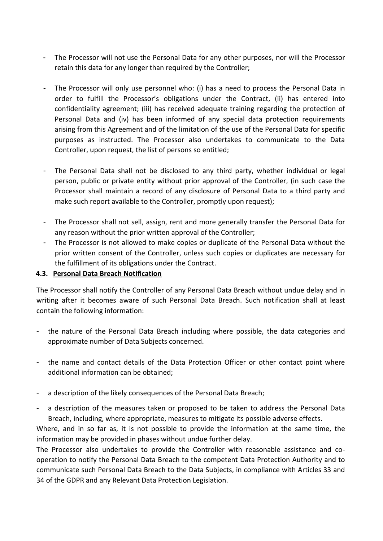- The Processor will not use the Personal Data for any other purposes, nor will the Processor retain this data for any longer than required by the Controller;
- The Processor will only use personnel who: (i) has a need to process the Personal Data in order to fulfill the Processor's obligations under the Contract, (ii) has entered into confidentiality agreement; (iii) has received adequate training regarding the protection of Personal Data and (iv) has been informed of any special data protection requirements arising from this Agreement and of the limitation of the use of the Personal Data for specific purposes as instructed. The Processor also undertakes to communicate to the Data Controller, upon request, the list of persons so entitled;
- The Personal Data shall not be disclosed to any third party, whether individual or legal person, public or private entity without prior approval of the Controller, (in such case the Processor shall maintain a record of any disclosure of Personal Data to a third party and make such report available to the Controller, promptly upon request);
- The Processor shall not sell, assign, rent and more generally transfer the Personal Data for any reason without the prior written approval of the Controller;
- The Processor is not allowed to make copies or duplicate of the Personal Data without the prior written consent of the Controller, unless such copies or duplicates are necessary for the fulfillment of its obligations under the Contract.

### **4.3. Personal Data Breach Notification**

The Processor shall notify the Controller of any Personal Data Breach without undue delay and in writing after it becomes aware of such Personal Data Breach. Such notification shall at least contain the following information:

- the nature of the Personal Data Breach including where possible, the data categories and approximate number of Data Subjects concerned.
- the name and contact details of the Data Protection Officer or other contact point where additional information can be obtained;
- a description of the likely consequences of the Personal Data Breach;
- a description of the measures taken or proposed to be taken to address the Personal Data Breach, including, where appropriate, measures to mitigate its possible adverse effects.

Where, and in so far as, it is not possible to provide the information at the same time, the information may be provided in phases without undue further delay.

The Processor also undertakes to provide the Controller with reasonable assistance and cooperation to notify the Personal Data Breach to the competent Data Protection Authority and to communicate such Personal Data Breach to the Data Subjects, in compliance with Articles 33 and 34 of the GDPR and any Relevant Data Protection Legislation.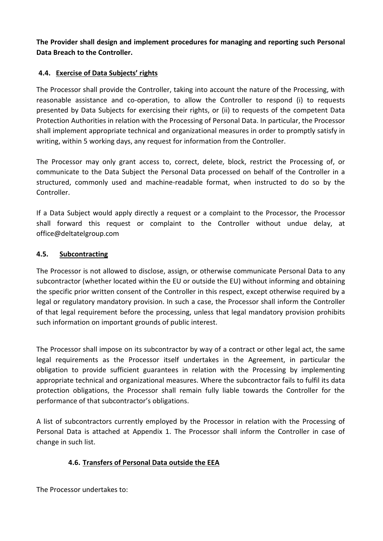**The Provider shall design and implement procedures for managing and reporting such Personal Data Breach to the Controller.**

### **4.4. Exercise of Data Subjects' rights**

The Processor shall provide the Controller, taking into account the nature of the Processing, with reasonable assistance and co-operation, to allow the Controller to respond (i) to requests presented by Data Subjects for exercising their rights, or (ii) to requests of the competent Data Protection Authorities in relation with the Processing of Personal Data. In particular, the Processor shall implement appropriate technical and organizational measures in order to promptly satisfy in writing, within 5 working days, any request for information from the Controller.

The Processor may only grant access to, correct, delete, block, restrict the Processing of, or communicate to the Data Subject the Personal Data processed on behalf of the Controller in a structured, commonly used and machine-readable format, when instructed to do so by the Controller.

If a Data Subject would apply directly a request or a complaint to the Processor, the Processor shall forward this request or complaint to the Controller without undue delay, at [office@deltatelgroup.com](mailto:office@deltatelgroup.com)

### **4.5. Subcontracting**

The Processor is not allowed to disclose, assign, or otherwise communicate Personal Data to any subcontractor (whether located within the EU or outside the EU) without informing and obtaining the specific prior written consent of the Controller in this respect, except otherwise required by a legal or regulatory mandatory provision. In such a case, the Processor shall inform the Controller of that legal requirement before the processing, unless that legal mandatory provision prohibits such information on important grounds of public interest.

The Processor shall impose on its subcontractor by way of a contract or other legal act, the same legal requirements as the Processor itself undertakes in the Agreement, in particular the obligation to provide sufficient guarantees in relation with the Processing by implementing appropriate technical and organizational measures. Where the subcontractor fails to fulfil its data protection obligations, the Processor shall remain fully liable towards the Controller for the performance of that subcontractor's obligations.

A list of subcontractors currently employed by the Processor in relation with the Processing of Personal Data is attached at Appendix 1. The Processor shall inform the Controller in case of change in such list.

# **4.6. Transfers of Personal Data outside the EEA**

The Processor undertakes to: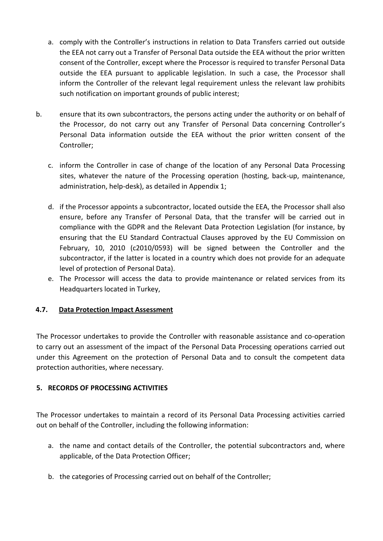- a. comply with the Controller's instructions in relation to Data Transfers carried out outside the EEA not carry out a Transfer of Personal Data outside the EEA without the prior written consent of the Controller, except where the Processor is required to transfer Personal Data outside the EEA pursuant to applicable legislation. In such a case, the Processor shall inform the Controller of the relevant legal requirement unless the relevant law prohibits such notification on important grounds of public interest;
- b. ensure that its own subcontractors, the persons acting under the authority or on behalf of the Processor, do not carry out any Transfer of Personal Data concerning Controller's Personal Data information outside the EEA without the prior written consent of the Controller;
	- c. inform the Controller in case of change of the location of any Personal Data Processing sites, whatever the nature of the Processing operation (hosting, back-up, maintenance, administration, help-desk), as detailed in Appendix 1;
	- d. if the Processor appoints a subcontractor, located outside the EEA, the Processor shall also ensure, before any Transfer of Personal Data, that the transfer will be carried out in compliance with the GDPR and the Relevant Data Protection Legislation (for instance, by ensuring that the EU Standard Contractual Clauses approved by the EU Commission on February, 10, 2010 (c2010/0593) will be signed between the Controller and the subcontractor, if the latter is located in a country which does not provide for an adequate level of protection of Personal Data).
	- e. The Processor will access the data to provide maintenance or related services from its Headquarters located in Turkey,

# **4.7. Data Protection Impact Assessment**

The Processor undertakes to provide the Controller with reasonable assistance and co-operation to carry out an assessment of the impact of the Personal Data Processing operations carried out under this Agreement on the protection of Personal Data and to consult the competent data protection authorities, where necessary.

### **5. RECORDS OF PROCESSING ACTIVITIES**

The Processor undertakes to maintain a record of its Personal Data Processing activities carried out on behalf of the Controller, including the following information:

- a. the name and contact details of the Controller, the potential subcontractors and, where applicable, of the Data Protection Officer;
- b. the categories of Processing carried out on behalf of the Controller;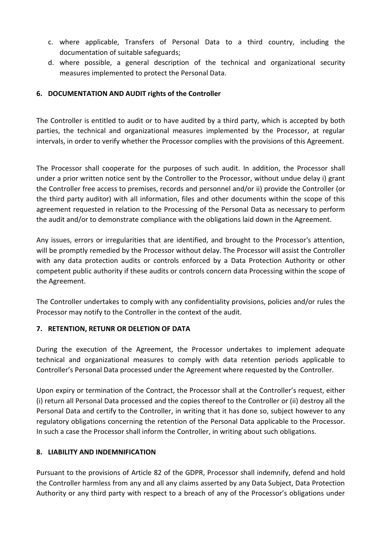- c. where applicable, Transfers of Personal Data to a third country, including the documentation of suitable safeguards;
- d. where possible, a general description of the technical and organizational security measures implemented to protect the Personal Data.

### **6. DOCUMENTATION AND AUDIT rights of the Controller**

The Controller is entitled to audit or to have audited by a third party, which is accepted by both parties, the technical and organizational measures implemented by the Processor, at regular intervals, in order to verify whether the Processor complies with the provisions of this Agreement.

The Processor shall cooperate for the purposes of such audit. In addition, the Processor shall under a prior written notice sent by the Controller to the Processor, without undue delay i) grant the Controller free access to premises, records and personnel and/or ii) provide the Controller (or the third party auditor) with all information, files and other documents within the scope of this agreement requested in relation to the Processing of the Personal Data as necessary to perform the audit and/or to demonstrate compliance with the obligations laid down in the Agreement.

Any issues, errors or irregularities that are identified, and brought to the Processor's attention, will be promptly remedied by the Processor without delay. The Processor will assist the Controller with any data protection audits or controls enforced by a Data Protection Authority or other competent public authority if these audits or controls concern data Processing within the scope of the Agreement.

The Controller undertakes to comply with any confidentiality provisions, policies and/or rules the Processor may notify to the Controller in the context of the audit.

### **7. RETENTION, RETUNR OR DELETION OF DATA**

During the execution of the Agreement, the Processor undertakes to implement adequate technical and organizational measures to comply with data retention periods applicable to Controller's Personal Data processed under the Agreement where requested by the Controller.

Upon expiry or termination of the Contract, the Processor shall at the Controller's request, either (i) return all Personal Data processed and the copies thereof to the Controller or (ii) destroy all the Personal Data and certify to the Controller, in writing that it has done so, subject however to any regulatory obligations concerning the retention of the Personal Data applicable to the Processor. In such a case the Processor shall inform the Controller, in writing about such obligations.

### **8. LIABILITY AND INDEMNIFICATION**

Pursuant to the provisions of Article 82 of the GDPR, Processor shall indemnify, defend and hold the Controller harmless from any and all any claims asserted by any Data Subject, Data Protection Authority or any third party with respect to a breach of any of the Processor's obligations under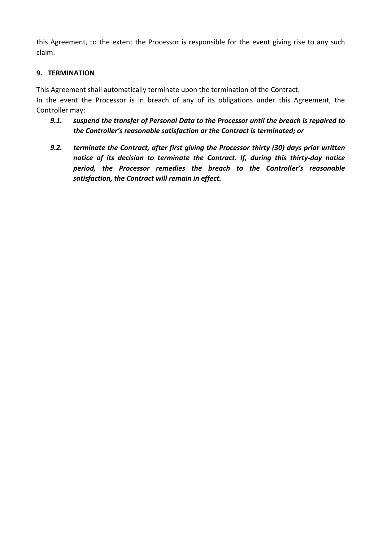this Agreement, to the extent the Processor is responsible for the event giving rise to any such claim.

### **9. TERMINATION**

This Agreement shall automatically terminate upon the termination of the Contract.

In the event the Processor is in breach of any of its obligations under this Agreement, the Controller may:

- *9.1. suspend the transfer of Personal Data to the Processor until the breach is repaired to the Controller's reasonable satisfaction or the Contract is terminated; or*
- *9.2. terminate the Contract, after first giving the Processor thirty (30) days prior written notice of its decision to terminate the Contract. If, during this thirty-day notice period, the Processor remedies the breach to the Controller's reasonable satisfaction, the Contract will remain in effect.*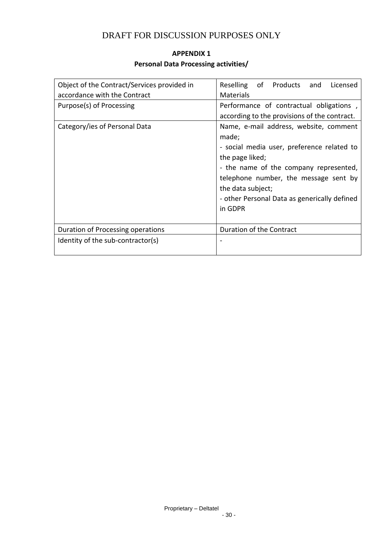# DRAFT FOR DISCUSSION PURPOSES ONLY

# **APPENDIX 1 Personal Data Processing activities/**

| Object of the Contract/Services provided in | Reselling<br>of Products<br>Licensed<br>and                                                                                                                                                                                                                                         |
|---------------------------------------------|-------------------------------------------------------------------------------------------------------------------------------------------------------------------------------------------------------------------------------------------------------------------------------------|
| accordance with the Contract                | <b>Materials</b>                                                                                                                                                                                                                                                                    |
| Purpose(s) of Processing                    | Performance of contractual obligations,<br>according to the provisions of the contract.                                                                                                                                                                                             |
| Category/ies of Personal Data               | Name, e-mail address, website, comment<br>made;<br>- social media user, preference related to<br>the page liked;<br>- the name of the company represented,<br>telephone number, the message sent by<br>the data subject;<br>- other Personal Data as generically defined<br>in GDPR |
| Duration of Processing operations           | Duration of the Contract                                                                                                                                                                                                                                                            |
| Identity of the sub-contractor(s)           |                                                                                                                                                                                                                                                                                     |